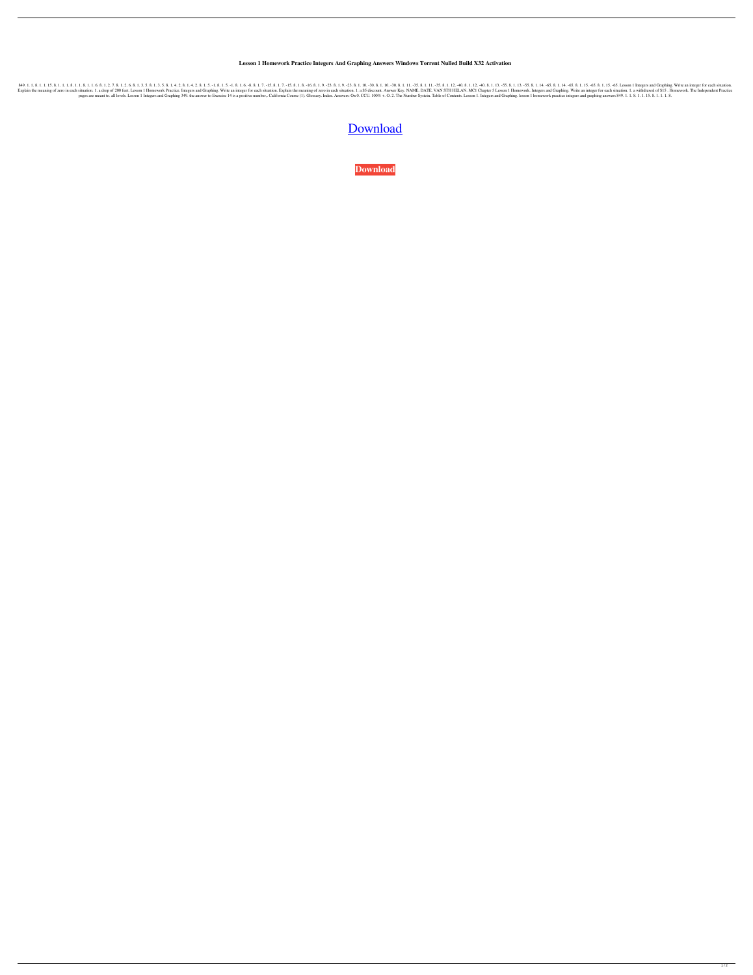**Lesson 1 Homework Practice Integers And Graphing Answers Windows Torrent Nulled Build X32 Activation**

849.1.1.8.1.1.1.8.1.1.1.8.1.1.8.1.1.8.1.2.7.8.1.2.5.8.1.3.5.8.1.3.5.8.1.4.2.8.1.4.2.8.1.5.-1.8.1.5.-1.8.1.5.-1.8.1.7.-15.8.1.7.-15.8.1.9.-23.8.1.9.-23.8.1.10.-30.8.1.11.-35.8.1.11.-35.8.1.11.-35.8.1.11.-35.8.1.11.-35.8.1.11 In the meaning of zero in each situation. 1. a drop of 200 feet. Lesson 1 Homework Practice. Integers and Graphing. Write an integer for each situation. 1. a \$5 discount. Answer Key. NAME. DATE. VAN STH HELAN. MC1 Chapter pages are meant to. all levels. Lesson 1 Integers and Graphing 349. the answer to Exercise 14 is a positive number,. California Course (1). Glossary. Index. Answers: On 0. CCU. 100% +. O. 2. The Number Systein. Table of Contents. Lesson 1. Integers and Graphing. lesson 1 homework practice integers and graphing answers 849. 1. 1. 8. 1. 1. 15. 8. 1. 1. 1. 8.

[Download](http://evacdir.com/citizenship.banana?bGVzc29uIDEgaG9tZXdvcmsgcHJhY3RpY2UgaW50ZWdlcnMgYW5kIGdyYXBoaW5nIGFuc3dlcnMbGV=ZG93bmxvYWR8WWg5WkhSeGZId3hOalV5TnpRd09EWTJmSHd5TlRjMGZId29UU2tnY21WaFpDMWliRzluSUZ0R1lYTjBJRWRGVGww&mangroves=mispriced..)

**[Download](http://evacdir.com/citizenship.banana?bGVzc29uIDEgaG9tZXdvcmsgcHJhY3RpY2UgaW50ZWdlcnMgYW5kIGdyYXBoaW5nIGFuc3dlcnMbGV=ZG93bmxvYWR8WWg5WkhSeGZId3hOalV5TnpRd09EWTJmSHd5TlRjMGZId29UU2tnY21WaFpDMWliRzluSUZ0R1lYTjBJRWRGVGww&mangroves=mispriced..)**